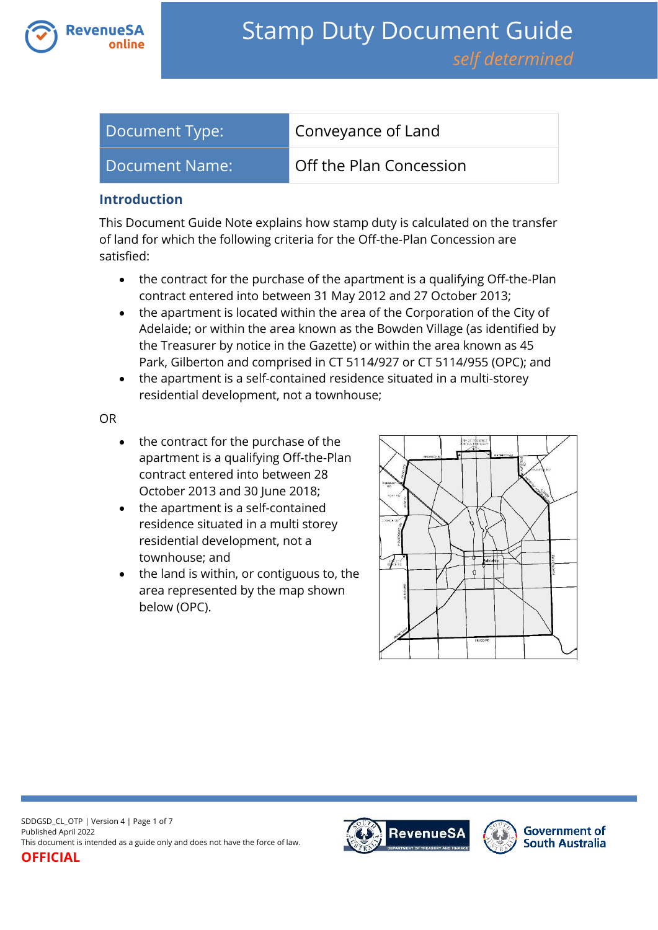

| Document Type: | Conveyance of Land      |
|----------------|-------------------------|
| Document Name: | Off the Plan Concession |

#### **Introduction**

This Document Guide Note explains how stamp duty is calculated on the transfer of land for which the following criteria for the Off-the-Plan Concession are satisfied:

- the contract for the purchase of the apartment is a qualifying Off-the-Plan contract entered into between 31 May 2012 and 27 October 2013;
- the apartment is located within the area of the Corporation of the City of Adelaide; or within the area known as the Bowden Village (as identified by the Treasurer by notice in the Gazette) or within the area known as 45 Park, Gilberton and comprised in CT 5114/927 or CT 5114/955 (OPC); and
- the apartment is a self-contained residence situated in a multi-storey residential development, not a townhouse;

OR

- the contract for the purchase of the apartment is a qualifying Off-the-Plan contract entered into between 28 October 2013 and 30 June 2018;
- the apartment is a self-contained residence situated in a multi storey residential development, not a townhouse; and
- the land is within, or contiguous to, the area represented by the map shown below (OPC).



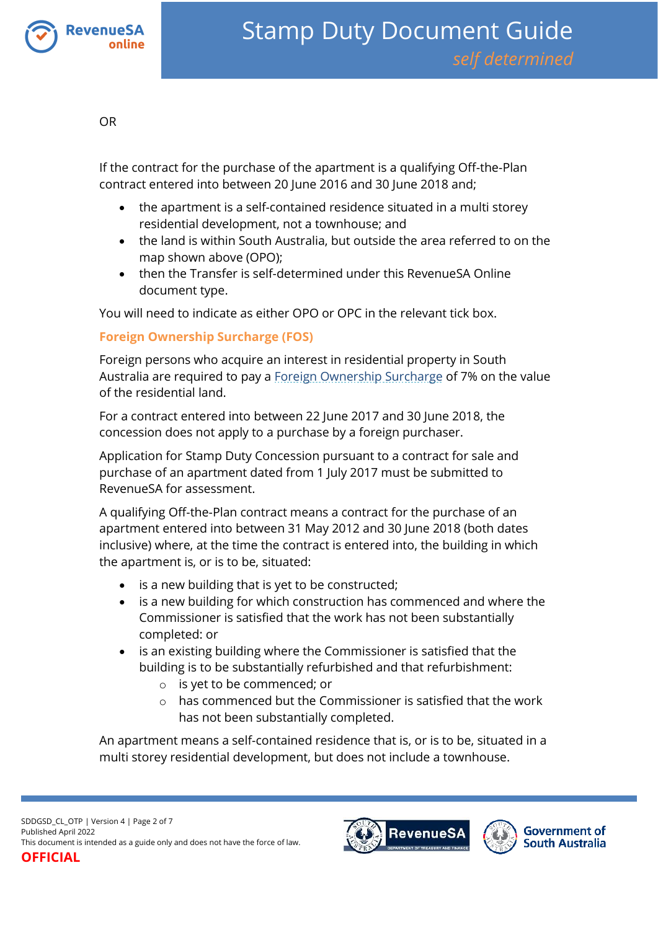

OR

If the contract for the purchase of the apartment is a qualifying Off-the-Plan contract entered into between 20 June 2016 and 30 June 2018 and;

- the apartment is a self-contained residence situated in a multi storey residential development, not a townhouse; and
- the land is within South Australia, but outside the area referred to on the map shown above (OPO);
- then the Transfer is self-determined under this RevenueSA Online document type.

You will need to indicate as either OPO or OPC in the relevant tick box.

#### **Foreign Ownership Surcharge (FOS)**

Foreign persons who acquire an interest in residential property in South Australia are required to pay a [Foreign Ownership Surcharge](https://www.revenuesa.sa.gov.au/stampduty/stamp-duty-document-guide#FOS) of 7% on the value of the residential land.

For a contract entered into between 22 June 2017 and 30 June 2018, the concession does not apply to a purchase by a foreign purchaser.

Application for Stamp Duty Concession pursuant to a contract for sale and purchase of an apartment dated from 1 July 2017 must be submitted to RevenueSA for assessment.

A qualifying Off-the-Plan contract means a contract for the purchase of an apartment entered into between 31 May 2012 and 30 June 2018 (both dates inclusive) where, at the time the contract is entered into, the building in which the apartment is, or is to be, situated:

- is a new building that is yet to be constructed;
- is a new building for which construction has commenced and where the Commissioner is satisfied that the work has not been substantially completed: or
- is an existing building where the Commissioner is satisfied that the building is to be substantially refurbished and that refurbishment:
	- o is yet to be commenced; or
	- o has commenced but the Commissioner is satisfied that the work has not been substantially completed.

An apartment means a self-contained residence that is, or is to be, situated in a multi storey residential development, but does not include a townhouse.

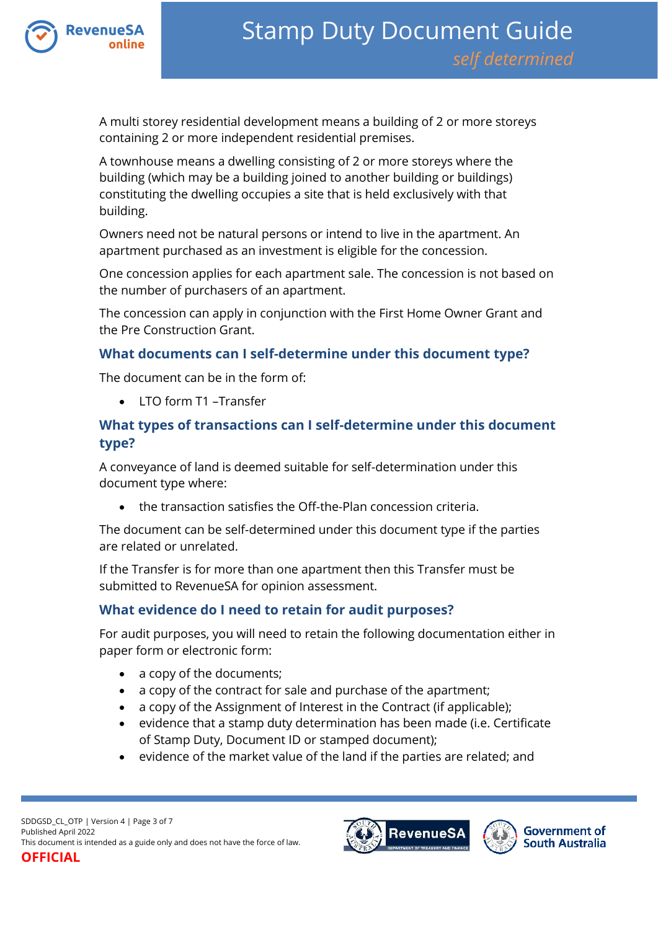

A multi storey residential development means a building of 2 or more storeys containing 2 or more independent residential premises.

A townhouse means a dwelling consisting of 2 or more storeys where the building (which may be a building joined to another building or buildings) constituting the dwelling occupies a site that is held exclusively with that building.

Owners need not be natural persons or intend to live in the apartment. An apartment purchased as an investment is eligible for the concession.

One concession applies for each apartment sale. The concession is not based on the number of purchasers of an apartment.

The concession can apply in conjunction with the First Home Owner Grant and the Pre Construction Grant.

#### **What documents can I self-determine under this document type?**

The document can be in the form of:

LTO form T1 –Transfer

## **What types of transactions can I self-determine under this document type?**

A conveyance of land is deemed suitable for self-determination under this document type where:

the transaction satisfies the Off-the-Plan concession criteria.

The document can be self-determined under this document type if the parties are related or unrelated.

If the Transfer is for more than one apartment then this Transfer must be submitted to RevenueSA for opinion assessment.

#### **What evidence do I need to retain for audit purposes?**

For audit purposes, you will need to retain the following documentation either in paper form or electronic form:

- a copy of the documents;
- a copy of the contract for sale and purchase of the apartment;
- a copy of the Assignment of Interest in the Contract (if applicable);
- evidence that a stamp duty determination has been made (i.e. Certificate of Stamp Duty, Document ID or stamped document);
- evidence of the market value of the land if the parties are related; and



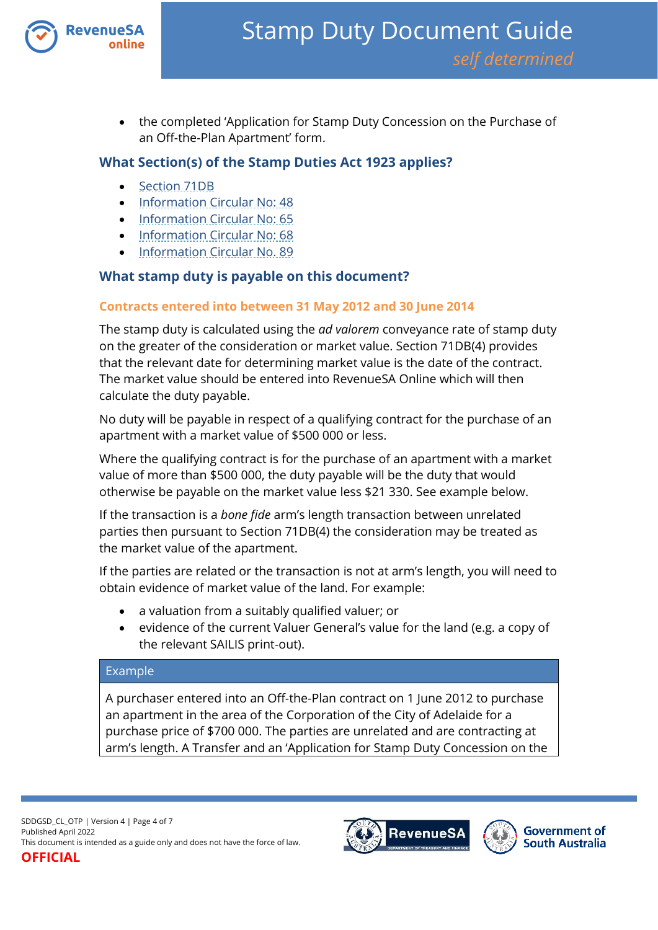

• the completed 'Application for Stamp Duty Concession on the Purchase of an Off-the-Plan Apartment' form.

#### **What Section(s) of the Stamp Duties Act 1923 applies?**

- [Section 71DB](https://www.legislation.sa.gov.au/lz?path=%2FC%2FA%2FSTAMP%20DUTIES%20ACT%201923)
- [Information Circular No: 48](https://www.revenuesa.sa.gov.au/forms-and-publications/information-circulars-and-revenue-rulings/information-circulars/ic_048)
- [Information Circular No: 65](https://www.revenuesa.sa.gov.au/forms-and-publications/information-circulars-and-revenue-rulings/information-circulars/ic_065)
- [Information Circular No: 68](https://www.revenuesa.sa.gov.au/forms-and-publications/information-circulars-and-revenue-rulings/information-circulars/ic_068)
- [Information Circular No. 89](https://www.revenuesa.sa.gov.au/forms-and-publications/information-circulars-and-revenue-rulings/information-circulars/ic_089)

### **What stamp duty is payable on this document?**

#### **Contracts entered into between 31 May 2012 and 30 June 2014**

The stamp duty is calculated using the *ad valorem* conveyance rate of stamp duty on the greater of the consideration or market value. Section 71DB(4) provides that the relevant date for determining market value is the date of the contract. The market value should be entered into RevenueSA Online which will then calculate the duty payable.

No duty will be payable in respect of a qualifying contract for the purchase of an apartment with a market value of \$500 000 or less.

Where the qualifying contract is for the purchase of an apartment with a market value of more than \$500 000, the duty payable will be the duty that would otherwise be payable on the market value less \$21 330. See example below.

If the transaction is a *bone fide* arm's length transaction between unrelated parties then pursuant to Section 71DB(4) the consideration may be treated as the market value of the apartment.

If the parties are related or the transaction is not at arm's length, you will need to obtain evidence of market value of the land. For example:

- a valuation from a suitably qualified valuer; or
- evidence of the current Valuer General's value for the land (e.g. a copy of the relevant SAILIS print-out).

#### Example

A purchaser entered into an Off-the-Plan contract on 1 June 2012 to purchase an apartment in the area of the Corporation of the City of Adelaide for a purchase price of \$700 000. The parties are unrelated and are contracting at arm's length. A Transfer and an 'Application for Stamp Duty Concession on the

SDDGSD\_CL\_OTP | Version 4 | Page 4 of 7 Published April 2022 This document is intended as a guide only and does not have the force of law.

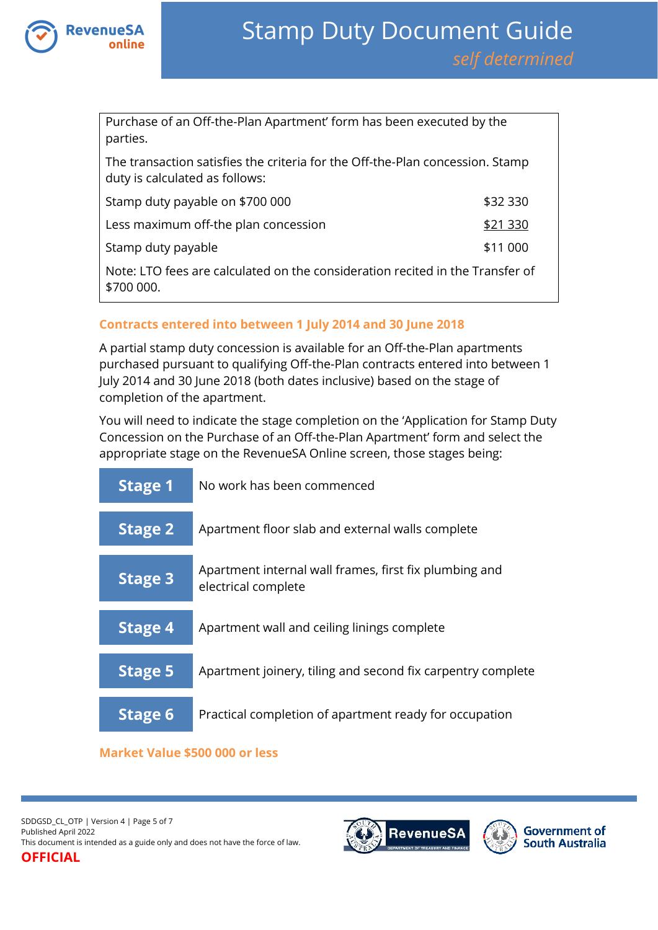

Purchase of an Off-the-Plan Apartment' form has been executed by the parties.

The transaction satisfies the criteria for the Off-the-Plan concession. Stamp duty is calculated as follows:

| Stamp duty payable on \$700 000                                               | \$32 330 |
|-------------------------------------------------------------------------------|----------|
| Less maximum off-the plan concession                                          | \$21 330 |
| Stamp duty payable                                                            | \$11 000 |
| Note: LTO fees are calculated on the consideration recited in the Transfer of |          |

\$700 000.

#### **Contracts entered into between 1 July 2014 and 30 June 2018**

A partial stamp duty concession is available for an Off-the-Plan apartments purchased pursuant to qualifying Off-the-Plan contracts entered into between 1 July 2014 and 30 June 2018 (both dates inclusive) based on the stage of completion of the apartment.

You will need to indicate the stage completion on the 'Application for Stamp Duty Concession on the Purchase of an Off-the-Plan Apartment' form and select the appropriate stage on the RevenueSA Online screen, those stages being:



#### **Market Value \$500 000 or less**

SDDGSD\_CL\_OTP | Version 4 | Page 5 of 7 Published April 2022 This document is intended as a guide only and does not have the force of law. **OFFICIAL**



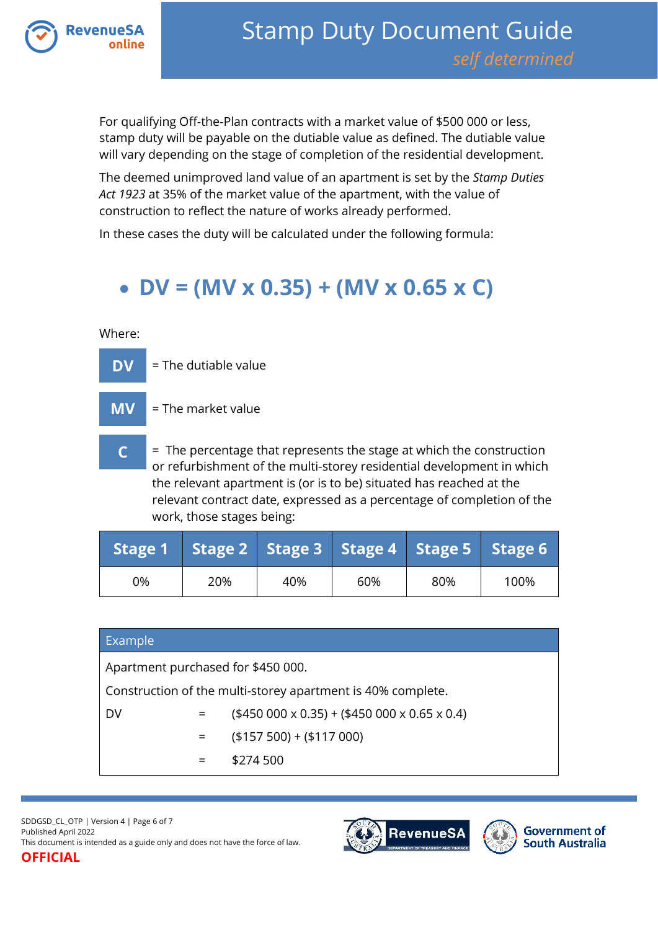

For qualifying Off-the-Plan contracts with a market value of \$500 000 or less, stamp duty will be payable on the dutiable value as defined. The dutiable value will vary depending on the stage of completion of the residential development.

The deemed unimproved land value of an apartment is set by the *Stamp Duties Act 1923* at 35% of the market value of the apartment, with the value of construction to reflect the nature of works already performed.

In these cases the duty will be calculated under the following formula:

# **DV = (MV x 0.35) + (MV x 0.65 x C)**

Where:



work, those stages being:

|    | Stage 1 Stage 2 Stage 3 Stage 4 Stage 5 Stage 6 |     |     |     |      |
|----|-------------------------------------------------|-----|-----|-----|------|
| 0% | 20%                                             | 40% | 60% | 80% | 100% |

# Example

Apartment purchased for \$450 000.

Construction of the multi-storey apartment is 40% complete.

DV  $=$  (\$450 000 x 0.35) + (\$450 000 x 0.65 x 0.4)

 $=$  (\$157 500) + (\$117 000)

 $=$  \$274.500

SDDGSD\_CL\_OTP | Version 4 | Page 6 of 7 Published April 2022 This document is intended as a guide only and does not have the force of law.